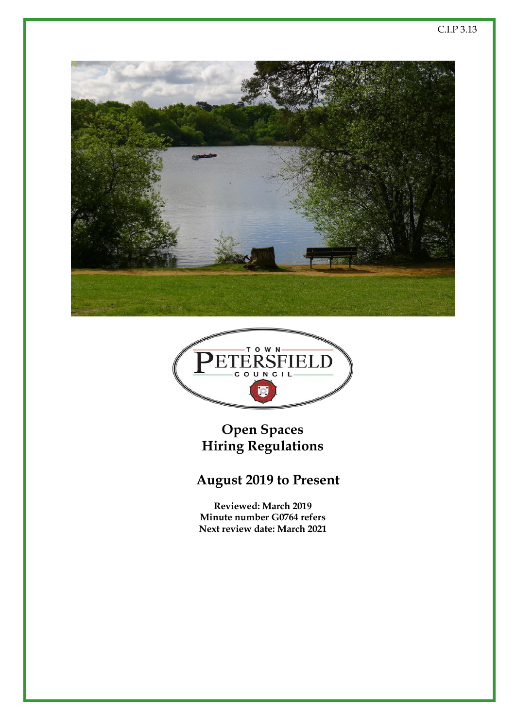



**Open Spaces Hiring Regulations**

# **August 2019 to Present**

**Reviewed: March 2019 Minute number G0764 refers Next review date: March 2021**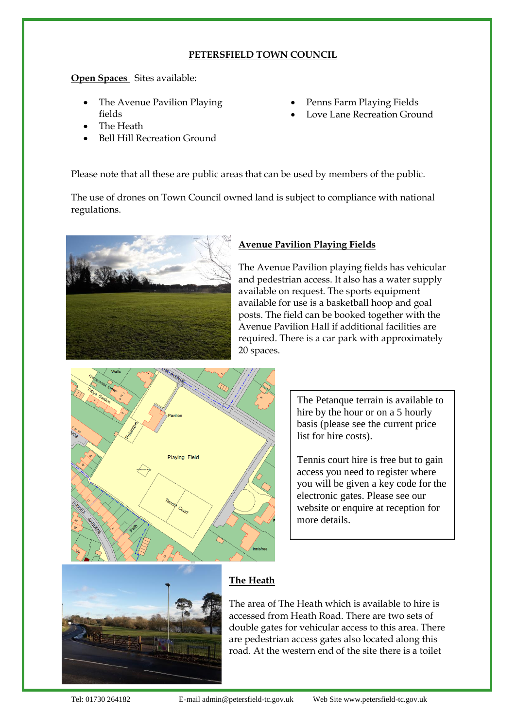# **PETERSFIELD TOWN COUNCIL**

**Open Spaces** Sites available:

- The Avenue Pavilion Playing fields
- The Heath
- Bell Hill Recreation Ground

Penns Farm Playing Fields

Love Lane Recreation Ground

Please note that all these are public areas that can be used by members of the public.

The use of drones on Town Council owned land is subject to compliance with national regulations.



# **Avenue Pavilion Playing Fields**

The Avenue Pavilion playing fields has vehicular and pedestrian access. It also has a water supply available on request. The sports equipment available for use is a basketball hoop and goal posts. The field can be booked together with the Avenue Pavilion Hall if additional facilities are required. There is a car park with approximately 20 spaces.



The Petanque terrain is available to hire by the hour or on a 5 hourly basis (please see the current price list for hire costs).

Tennis court hire is free but to gain access you need to register where you will be given a key code for the electronic gates. Please see our website or enquire at reception for more details.



# **The Heath**

The area of The Heath which is available to hire is accessed from Heath Road. There are two sets of double gates for vehicular access to this area. There are pedestrian access gates also located along this road. At the western end of the site there is a toilet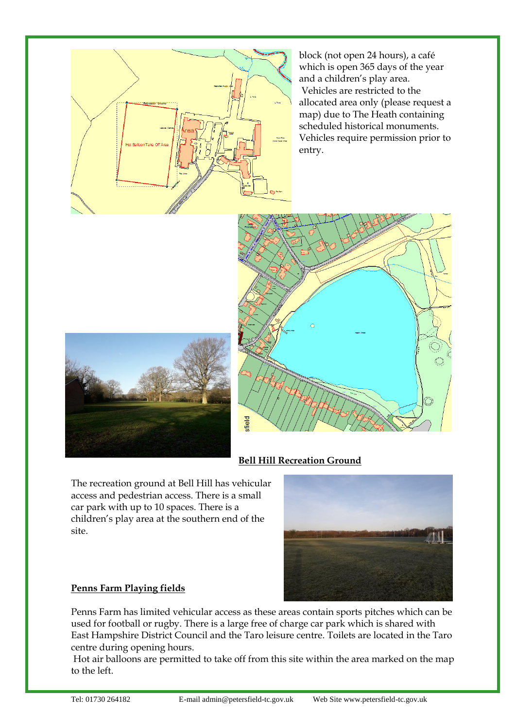

block (not open 24 hours), a café which is open 365 days of the year and a children's play area. Vehicles are restricted to the allocated area only (please request a map) due to The Heath containing scheduled historical monuments. Vehicles require permission prior to entry.





# **Bell Hill Recreation Ground**

The recreation ground at Bell Hill has vehicular access and pedestrian access. There is a small car park with up to 10 spaces. There is a children's play area at the southern end of the site.



# **Penns Farm Playing fields**

Penns Farm has limited vehicular access as these areas contain sports pitches which can be used for football or rugby. There is a large free of charge car park which is shared with East Hampshire District Council and the Taro leisure centre. Toilets are located in the Taro centre during opening hours.

Hot air balloons are permitted to take off from this site within the area marked on the map to the left.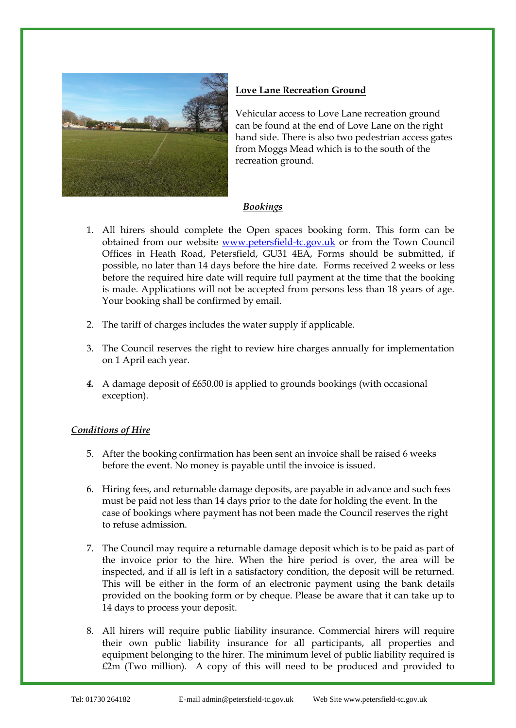

# **Love Lane Recreation Ground**

Vehicular access to Love Lane recreation ground can be found at the end of Love Lane on the right hand side. There is also two pedestrian access gates from Moggs Mead which is to the south of the recreation ground.

#### *Bookings*

- 1. All hirers should complete the Open spaces booking form. This form can be obtained from our website [www.petersfield-tc.gov.uk](http://www.petersfield-tc.gov.uk/) or from the Town Council Offices in Heath Road, Petersfield, GU31 4EA, Forms should be submitted, if possible, no later than 14 days before the hire date. Forms received 2 weeks or less before the required hire date will require full payment at the time that the booking is made. Applications will not be accepted from persons less than 18 years of age. Your booking shall be confirmed by email.
- 2. The tariff of charges includes the water supply if applicable.
- 3. The Council reserves the right to review hire charges annually for implementation on 1 April each year.
- *4.* A damage deposit of £650.00 is applied to grounds bookings (with occasional exception).

# *Conditions of Hire*

- 5. After the booking confirmation has been sent an invoice shall be raised 6 weeks before the event. No money is payable until the invoice is issued.
- 6. Hiring fees, and returnable damage deposits, are payable in advance and such fees must be paid not less than 14 days prior to the date for holding the event. In the case of bookings where payment has not been made the Council reserves the right to refuse admission.
- 7. The Council may require a returnable damage deposit which is to be paid as part of the invoice prior to the hire. When the hire period is over, the area will be inspected, and if all is left in a satisfactory condition, the deposit will be returned. This will be either in the form of an electronic payment using the bank details provided on the booking form or by cheque. Please be aware that it can take up to 14 days to process your deposit.
- 8. All hirers will require public liability insurance. Commercial hirers will require their own public liability insurance for all participants, all properties and equipment belonging to the hirer. The minimum level of public liability required is £2m (Two million). A copy of this will need to be produced and provided to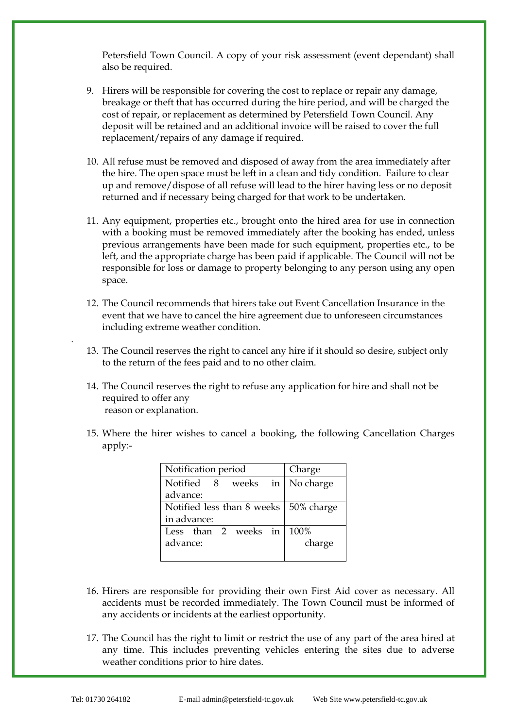Petersfield Town Council. A copy of your risk assessment (event dependant) shall also be required.

- 9. Hirers will be responsible for covering the cost to replace or repair any damage, breakage or theft that has occurred during the hire period, and will be charged the cost of repair, or replacement as determined by Petersfield Town Council. Any deposit will be retained and an additional invoice will be raised to cover the full replacement/repairs of any damage if required.
- 10. All refuse must be removed and disposed of away from the area immediately after the hire. The open space must be left in a clean and tidy condition. Failure to clear up and remove/dispose of all refuse will lead to the hirer having less or no deposit returned and if necessary being charged for that work to be undertaken.
- 11. Any equipment, properties etc., brought onto the hired area for use in connection with a booking must be removed immediately after the booking has ended, unless previous arrangements have been made for such equipment, properties etc., to be left, and the appropriate charge has been paid if applicable. The Council will not be responsible for loss or damage to property belonging to any person using any open space.
- 12. The Council recommends that hirers take out Event Cancellation Insurance in the event that we have to cancel the hire agreement due to unforeseen circumstances including extreme weather condition.
- 13. The Council reserves the right to cancel any hire if it should so desire, subject only to the return of the fees paid and to no other claim.
- 14. The Council reserves the right to refuse any application for hire and shall not be required to offer any reason or explanation.
- 15. Where the hirer wishes to cancel a booking, the following Cancellation Charges apply:-

| Notification period                     | Charge    |  |  |
|-----------------------------------------|-----------|--|--|
| Notified 8<br>in<br>weeks               | No charge |  |  |
| advance:                                |           |  |  |
| Notified less than 8 weeks   50% charge |           |  |  |
| in advance:                             |           |  |  |
| Less than 2 weeks in                    | $100\%$   |  |  |
| advance:                                | charge    |  |  |
|                                         |           |  |  |

- 16. Hirers are responsible for providing their own First Aid cover as necessary. All accidents must be recorded immediately. The Town Council must be informed of any accidents or incidents at the earliest opportunity.
- 17. The Council has the right to limit or restrict the use of any part of the area hired at any time. This includes preventing vehicles entering the sites due to adverse weather conditions prior to hire dates.

.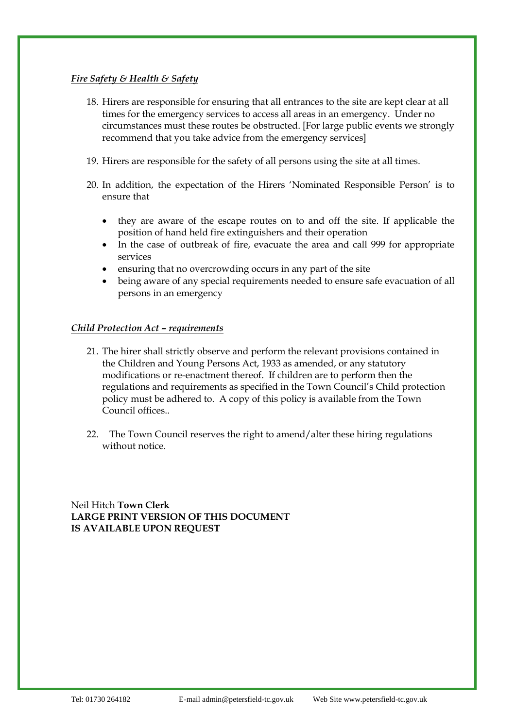#### *Fire Safety & Health & Safety*

- 18. Hirers are responsible for ensuring that all entrances to the site are kept clear at all times for the emergency services to access all areas in an emergency. Under no circumstances must these routes be obstructed. [For large public events we strongly recommend that you take advice from the emergency services]
- 19. Hirers are responsible for the safety of all persons using the site at all times.
- 20. In addition, the expectation of the Hirers 'Nominated Responsible Person' is to ensure that
	- they are aware of the escape routes on to and off the site. If applicable the position of hand held fire extinguishers and their operation
	- In the case of outbreak of fire, evacuate the area and call 999 for appropriate services
	- ensuring that no overcrowding occurs in any part of the site
	- being aware of any special requirements needed to ensure safe evacuation of all persons in an emergency

#### *Child Protection Act – requirements*

- 21. The hirer shall strictly observe and perform the relevant provisions contained in the Children and Young Persons Act, 1933 as amended, or any statutory modifications or re-enactment thereof. If children are to perform then the regulations and requirements as specified in the Town Council's Child protection policy must be adhered to. A copy of this policy is available from the Town Council offices..
- 22. The Town Council reserves the right to amend/alter these hiring regulations without notice.

Neil Hitch **Town Clerk LARGE PRINT VERSION OF THIS DOCUMENT IS AVAILABLE UPON REQUEST**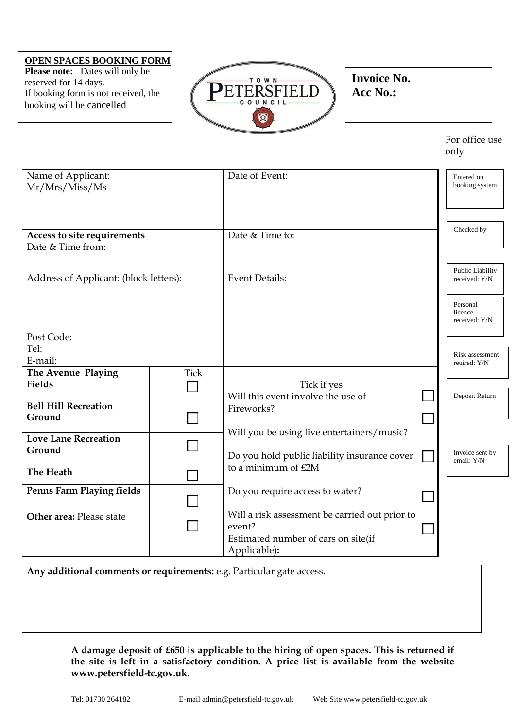#### **OPEN SPACES BOOKING FORM**

**Please note:** Dates will only be reserved for 14 days. If booking form is not received, the booking will be cancelled



**Invoice No. Acc No.:**

> For office use only

| Name of Applicant:<br>Mr/Mrs/Miss/Ms             |             | Date of Event:                                                                                  | Entered on<br>booking system         |
|--------------------------------------------------|-------------|-------------------------------------------------------------------------------------------------|--------------------------------------|
| Access to site requirements<br>Date & Time from: |             | Date & Time to:                                                                                 | Checked by                           |
| Address of Applicant: (block letters):           |             | <b>Event Details:</b>                                                                           | Public Liability<br>received: Y/N    |
|                                                  |             |                                                                                                 | Personal<br>licence<br>received: Y/N |
| Post Code:                                       |             |                                                                                                 |                                      |
| Tel:                                             |             |                                                                                                 | Risk assessment                      |
| E-mail:                                          |             |                                                                                                 | reuired: Y/N                         |
| The Avenue Playing                               | <b>Tick</b> |                                                                                                 |                                      |
| Fields                                           |             | Tick if yes                                                                                     |                                      |
|                                                  |             | Will this event involve the use of                                                              | Deposit Return                       |
| <b>Bell Hill Recreation</b>                      |             | Fireworks?                                                                                      |                                      |
| Ground                                           |             |                                                                                                 |                                      |
|                                                  |             | Will you be using live entertainers/music?                                                      |                                      |
| <b>Love Lane Recreation</b>                      |             |                                                                                                 |                                      |
| Ground                                           |             | Do you hold public liability insurance cover                                                    | Invoice sent by                      |
| The Heath                                        |             | to a minimum of £2M                                                                             | email: Y/N                           |
|                                                  |             |                                                                                                 |                                      |
| <b>Penns Farm Playing fields</b>                 |             | Do you require access to water?                                                                 |                                      |
| Other area: Please state                         |             | Will a risk assessment be carried out prior to<br>event?<br>Estimated number of cars on site(if |                                      |
|                                                  |             | Applicable):                                                                                    |                                      |

**Any additional comments or requirements:** e.g. Particular gate access.

**A damage deposit of £650 is applicable to the hiring of open spaces. This is returned if the site is left in a satisfactory condition. A price list is available from the website www.petersfield-tc.gov.uk.**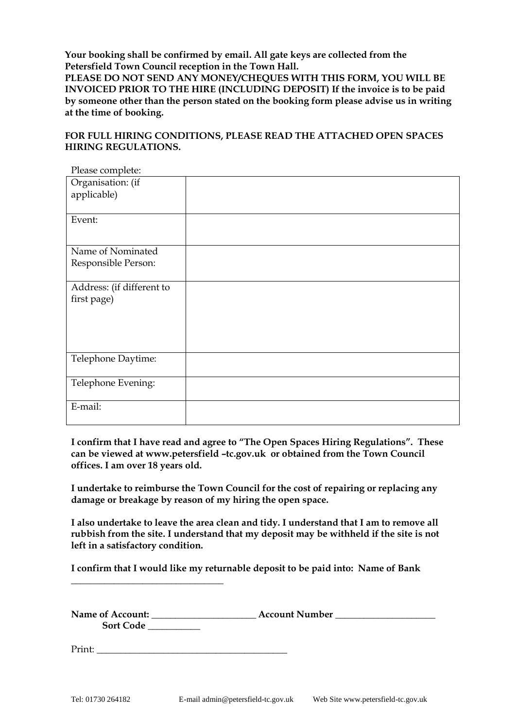**Your booking shall be confirmed by email. All gate keys are collected from the Petersfield Town Council reception in the Town Hall.**

**PLEASE DO NOT SEND ANY MONEY/CHEQUES WITH THIS FORM, YOU WILL BE INVOICED PRIOR TO THE HIRE (INCLUDING DEPOSIT) If the invoice is to be paid by someone other than the person stated on the booking form please advise us in writing at the time of booking.**

#### **FOR FULL HIRING CONDITIONS, PLEASE READ THE ATTACHED OPEN SPACES HIRING REGULATIONS.**

| Please complete:          |  |
|---------------------------|--|
| Organisation: (if         |  |
| applicable)               |  |
|                           |  |
| Event:                    |  |
|                           |  |
| Name of Nominated         |  |
| Responsible Person:       |  |
|                           |  |
| Address: (if different to |  |
| first page)               |  |
|                           |  |
|                           |  |
|                           |  |
|                           |  |
| Telephone Daytime:        |  |
|                           |  |
| Telephone Evening:        |  |
|                           |  |
| E-mail:                   |  |
|                           |  |

**I confirm that I have read and agree to "The Open Spaces Hiring Regulations". These can be viewed at www.petersfield –tc.gov.uk or obtained from the Town Council offices. I am over 18 years old.**

**I undertake to reimburse the Town Council for the cost of repairing or replacing any damage or breakage by reason of my hiring the open space.**

**I also undertake to leave the area clean and tidy. I understand that I am to remove all rubbish from the site. I understand that my deposit may be withheld if the site is not left in a satisfactory condition.**

**I confirm that I would like my returnable deposit to be paid into: Name of Bank** 

| Name of Account: | <b>Account Number</b> |  |
|------------------|-----------------------|--|
| <b>Sort Code</b> |                       |  |

Print:

**\_\_\_\_\_\_\_\_\_\_\_\_\_\_\_\_\_\_\_\_\_\_\_\_\_\_\_\_\_\_\_\_**